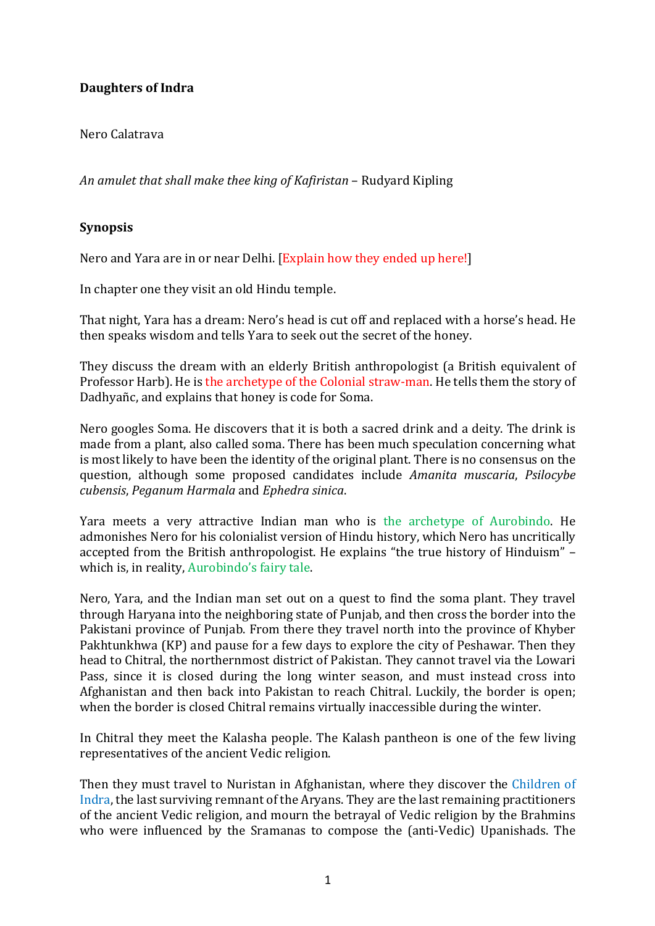# **Daughters of Indra**

Nero Calatrava

An amulet that shall make thee king of Kafiristan – Rudyard Kipling

## **Synopsis**

Nero and Yara are in or near Delhi. [Explain how they ended up here!]

In chapter one they visit an old Hindu temple.

That night, Yara has a dream: Nero's head is cut off and replaced with a horse's head. He then speaks wisdom and tells Yara to seek out the secret of the honey.

They discuss the dream with an elderly British anthropologist (a British equivalent of Professor Harb). He is the archetype of the Colonial straw-man. He tells them the story of Dadhyañc, and explains that honey is code for Soma.

Nero googles Soma. He discovers that it is both a sacred drink and a deity. The drink is made from a plant, also called soma. There has been much speculation concerning what is most likely to have been the identity of the original plant. There is no consensus on the question, although some proposed candidates include *Amanita muscaria*, *Psilocybe cubensis*, *Peganum Harmala* and *Ephedra sinica*.

Yara meets a very attractive Indian man who is the archetype of Aurobindo. He admonishes Nero for his colonialist version of Hindu history, which Nero has uncritically accepted from the British anthropologist. He explains "the true history of Hinduism" which is, in reality, Aurobindo's fairy tale.

Nero, Yara, and the Indian man set out on a quest to find the soma plant. They travel through Haryana into the neighboring state of Punjab, and then cross the border into the Pakistani province of Punjab. From there they travel north into the province of Khyber Pakhtunkhwa (KP) and pause for a few days to explore the city of Peshawar. Then they head to Chitral, the northernmost district of Pakistan. They cannot travel via the Lowari Pass, since it is closed during the long winter season, and must instead cross into Afghanistan and then back into Pakistan to reach Chitral. Luckily, the border is open; when the border is closed Chitral remains virtually inaccessible during the winter.

In Chitral they meet the Kalasha people. The Kalash pantheon is one of the few living representatives of the ancient Vedic religion.

Then they must travel to Nuristan in Afghanistan, where they discover the Children of Indra, the last surviving remnant of the Aryans. They are the last remaining practitioners of the ancient Vedic religion, and mourn the betrayal of Vedic religion by the Brahmins who were influenced by the Sramanas to compose the (anti-Vedic) Upanishads. The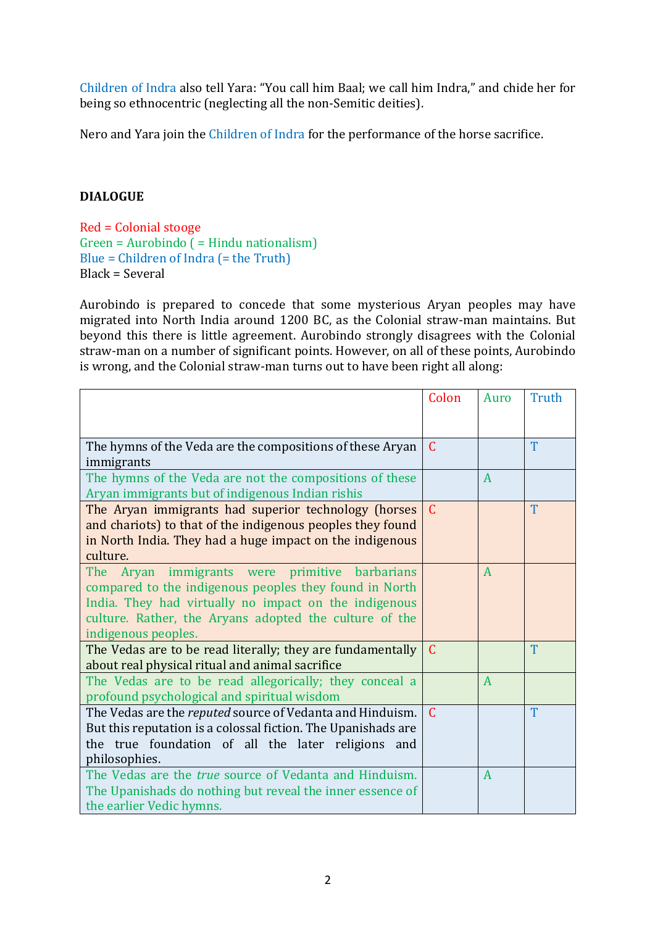Children of Indra also tell Yara: "You call him Baal; we call him Indra," and chide her for being so ethnocentric (neglecting all the non-Semitic deities).

Nero and Yara join the Children of Indra for the performance of the horse sacrifice.

## **DIALOGUE**

Red = Colonial stooge  $Green = \text{Aurobindo}$  ( = Hindu nationalism) Blue = Children of Indra  $(=$  the Truth)  $Black = Several$ 

Aurobindo is prepared to concede that some mysterious Aryan peoples may have migrated into North India around 1200 BC, as the Colonial straw-man maintains. But beyond this there is little agreement. Aurobindo strongly disagrees with the Colonial straw-man on a number of significant points. However, on all of these points, Aurobindo is wrong, and the Colonial straw-man turns out to have been right all along:

|                                                                     | Colon         | Auro         | Truth |
|---------------------------------------------------------------------|---------------|--------------|-------|
|                                                                     |               |              |       |
|                                                                     |               |              |       |
| The hymns of the Veda are the compositions of these Aryan           | $\mathcal{C}$ |              | T     |
| immigrants                                                          |               |              |       |
| The hymns of the Veda are not the compositions of these             |               | A            |       |
| Aryan immigrants but of indigenous Indian rishis                    |               |              |       |
| The Aryan immigrants had superior technology (horses                | $\mathcal{C}$ |              | T     |
| and chariots) to that of the indigenous peoples they found          |               |              |       |
| in North India. They had a huge impact on the indigenous            |               |              |       |
| culture.                                                            |               |              |       |
| Aryan immigrants were primitive barbarians<br>The                   |               | A            |       |
| compared to the indigenous peoples they found in North              |               |              |       |
| India. They had virtually no impact on the indigenous               |               |              |       |
| culture. Rather, the Aryans adopted the culture of the              |               |              |       |
| indigenous peoples.                                                 |               |              |       |
| The Vedas are to be read literally; they are fundamentally $\mid$ C |               |              | T     |
| about real physical ritual and animal sacrifice                     |               |              |       |
| The Vedas are to be read allegorically; they conceal a              |               | A            |       |
| profound psychological and spiritual wisdom                         |               |              |       |
| The Vedas are the reputed source of Vedanta and Hinduism.           | $\mathcal{C}$ |              | T     |
| But this reputation is a colossal fiction. The Upanishads are       |               |              |       |
| the true foundation of all the later religions and                  |               |              |       |
| philosophies.                                                       |               |              |       |
| The Vedas are the true source of Vedanta and Hinduism.              |               | $\mathbf{A}$ |       |
| The Upanishads do nothing but reveal the inner essence of           |               |              |       |
| the earlier Vedic hymns.                                            |               |              |       |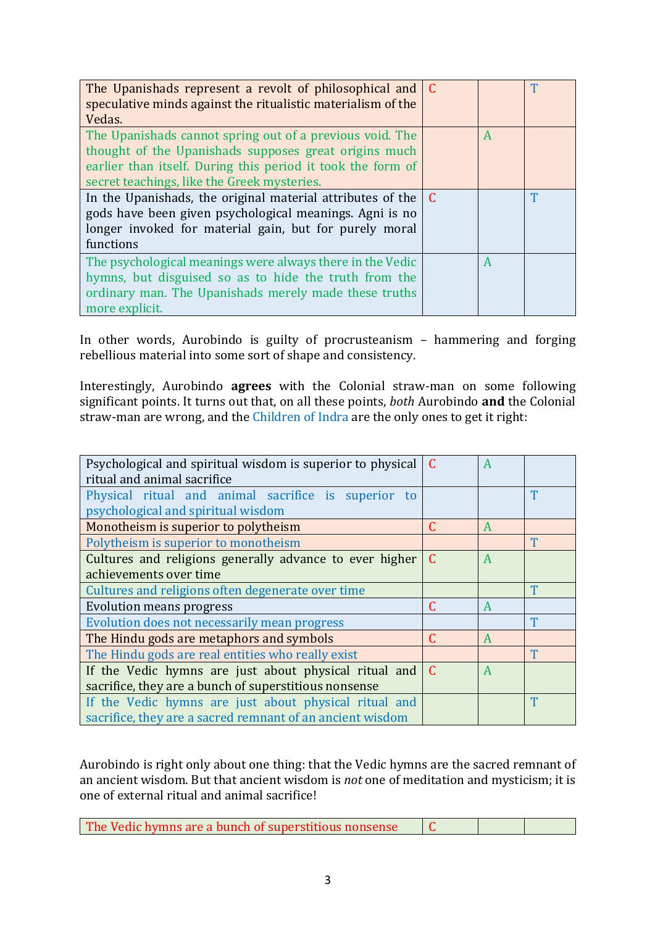| The Upanishads represent a revolt of philosophical and C<br>speculative minds against the ritualistic materialism of the<br>Vedas.                                                                                              |             |   | T |
|---------------------------------------------------------------------------------------------------------------------------------------------------------------------------------------------------------------------------------|-------------|---|---|
| The Upanishads cannot spring out of a previous void. The<br>thought of the Upanishads supposes great origins much<br>earlier than itself. During this period it took the form of<br>secret teachings, like the Greek mysteries. |             | A |   |
| In the Upanishads, the original material attributes of the<br>gods have been given psychological meanings. Agni is no<br>longer invoked for material gain, but for purely moral<br>functions                                    | $\mathbf C$ |   | Т |
| The psychological meanings were always there in the Vedic<br>hymns, but disguised so as to hide the truth from the<br>ordinary man. The Upanishads merely made these truths<br>more explicit.                                   |             | A |   |

In other words, Aurobindo is guilty of procrusteanism - hammering and forging rebellious material into some sort of shape and consistency.

Interestingly, Aurobindo **agrees** with the Colonial straw-man on some following significant points. It turns out that, on all these points, *both* Aurobindo **and** the Colonial straw-man are wrong, and the Children of Indra are the only ones to get it right:

| Psychological and spiritual wisdom is superior to physical         | C | A |   |
|--------------------------------------------------------------------|---|---|---|
| ritual and animal sacrifice                                        |   |   |   |
| Physical ritual and animal sacrifice is superior to                |   |   | T |
| psychological and spiritual wisdom                                 |   |   |   |
| Monotheism is superior to polytheism                               | C | A |   |
| Polytheism is superior to monotheism                               |   |   | T |
| Cultures and religions generally advance to ever higher            | C | A |   |
| achievements over time                                             |   |   |   |
| Cultures and religions often degenerate over time                  |   |   | Т |
| <b>Evolution means progress</b>                                    | C | A |   |
| Evolution does not necessarily mean progress                       |   |   | T |
| The Hindu gods are metaphors and symbols                           | C | A |   |
| The Hindu gods are real entities who really exist                  |   |   | T |
| If the Vedic hymns are just about physical ritual and $\mathcal C$ |   | A |   |
| sacrifice, they are a bunch of superstitious nonsense              |   |   |   |
| If the Vedic hymns are just about physical ritual and              |   |   | T |
| sacrifice, they are a sacred remnant of an ancient wisdom          |   |   |   |

Aurobindo is right only about one thing: that the Vedic hymns are the sacred remnant of an ancient wisdom. But that ancient wisdom is *not* one of meditation and mysticism; it is one of external ritual and animal sacrifice!

| The Vedic hymns are a bunch of superstitious nonsense |  |  |  |
|-------------------------------------------------------|--|--|--|
|-------------------------------------------------------|--|--|--|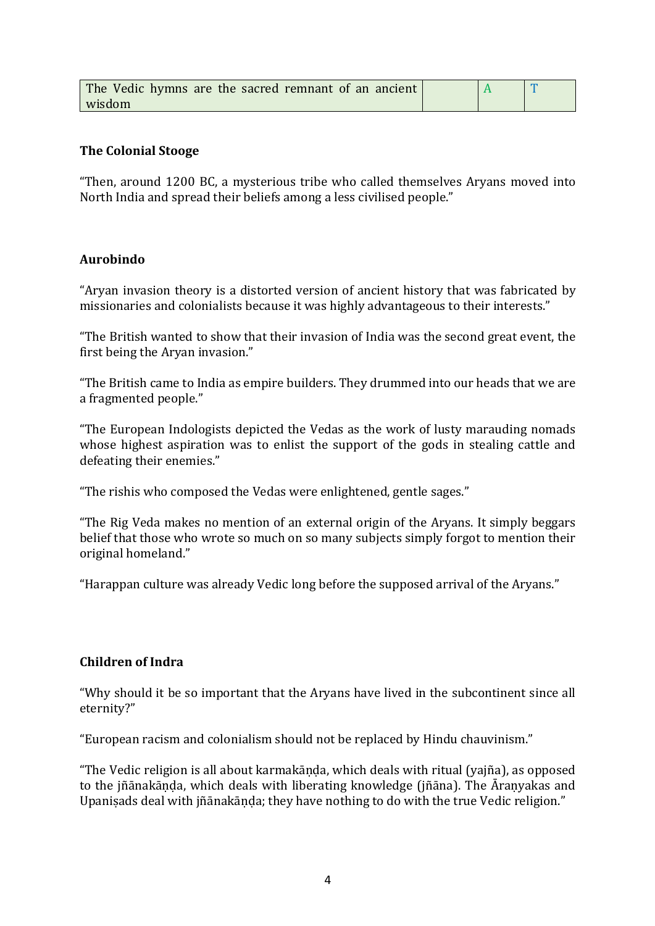| The Vedic hymns are the sacred remnant of an ancient |  |  |
|------------------------------------------------------|--|--|
| wisdom                                               |  |  |

### **The Colonial Stooge**

"Then, around 1200 BC, a mysterious tribe who called themselves Aryans moved into North India and spread their beliefs among a less civilised people."

#### **Aurobindo**

"Aryan invasion theory is a distorted version of ancient history that was fabricated by missionaries and colonialists because it was highly advantageous to their interests."

"The British wanted to show that their invasion of India was the second great event, the first being the Aryan invasion."

"The British came to India as empire builders. They drummed into our heads that we are a fragmented people."

"The European Indologists depicted the Vedas as the work of lusty marauding nomads whose highest aspiration was to enlist the support of the gods in stealing cattle and defeating their enemies."

"The rishis who composed the Vedas were enlightened, gentle sages."

"The Rig Veda makes no mention of an external origin of the Aryans. It simply beggars belief that those who wrote so much on so many subjects simply forgot to mention their original homeland."

"Harappan culture was already Vedic long before the supposed arrival of the Aryans."

### **Children of Indra**

"Why should it be so important that the Aryans have lived in the subcontinent since all eternity?"

"European racism and colonialism should not be replaced by Hindu chauvinism."

"The Vedic religion is all about karmakānda, which deals with ritual (yajña), as opposed to the jñānakānda, which deals with liberating knowledge (jñāna). The Āranyakas and Upanisads deal with jñānakānda; they have nothing to do with the true Vedic religion."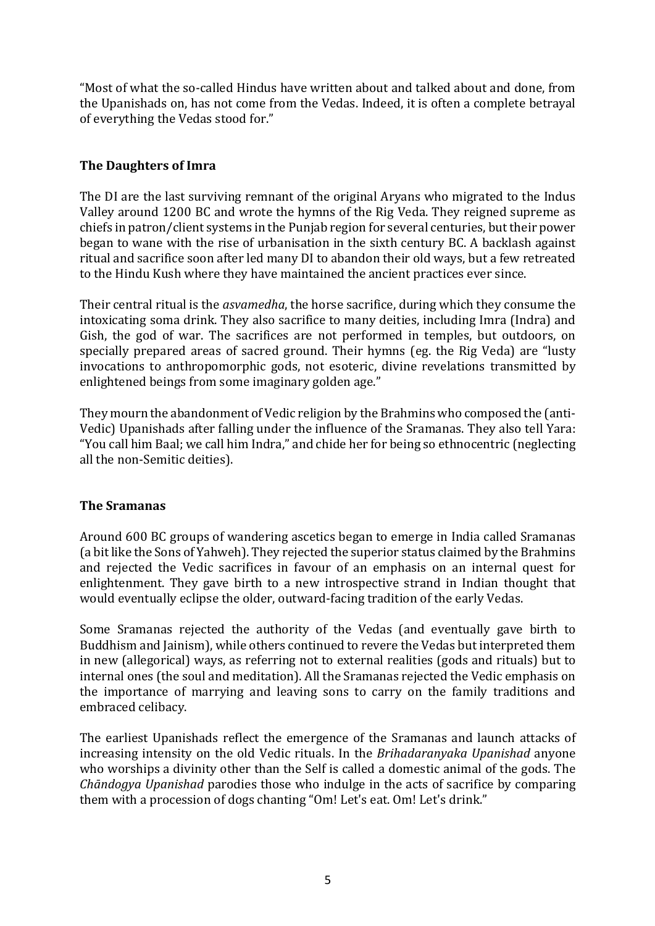"Most of what the so-called Hindus have written about and talked about and done, from the Upanishads on, has not come from the Vedas. Indeed, it is often a complete betrayal of everything the Vedas stood for."

## **The Daughters of Imra**

The DI are the last surviving remnant of the original Aryans who migrated to the Indus Valley around 1200 BC and wrote the hymns of the Rig Veda. They reigned supreme as chiefs in patron/client systems in the Punjab region for several centuries, but their power began to wane with the rise of urbanisation in the sixth century BC. A backlash against ritual and sacrifice soon after led many DI to abandon their old ways, but a few retreated to the Hindu Kush where they have maintained the ancient practices ever since.

Their central ritual is the *asvamedha*, the horse sacrifice, during which they consume the intoxicating soma drink. They also sacrifice to many deities, including Imra (Indra) and Gish, the god of war. The sacrifices are not performed in temples, but outdoors, on specially prepared areas of sacred ground. Their hymns (eg. the Rig Veda) are "lusty invocations to anthropomorphic gods, not esoteric, divine revelations transmitted by enlightened beings from some imaginary golden age."

They mourn the abandonment of Vedic religion by the Brahmins who composed the (anti-Vedic) Upanishads after falling under the influence of the Sramanas. They also tell Yara: "You call him Baal; we call him Indra," and chide her for being so ethnocentric (neglecting all the non-Semitic deities).

### **The Sramanas**

Around 600 BC groups of wandering ascetics began to emerge in India called Sramanas (a bit like the Sons of Yahweh). They rejected the superior status claimed by the Brahmins and rejected the Vedic sacrifices in favour of an emphasis on an internal quest for enlightenment. They gave birth to a new introspective strand in Indian thought that would eventually eclipse the older, outward-facing tradition of the early Vedas.

Some Sramanas rejected the authority of the Vedas (and eventually gave birth to Buddhism and Jainism), while others continued to revere the Vedas but interpreted them in new (allegorical) ways, as referring not to external realities (gods and rituals) but to internal ones (the soul and meditation). All the Sramanas rejected the Vedic emphasis on the importance of marrying and leaving sons to carry on the family traditions and embraced celibacy.

The earliest Upanishads reflect the emergence of the Sramanas and launch attacks of increasing intensity on the old Vedic rituals. In the *Brihadaranyaka Upanishad* anyone who worships a divinity other than the Self is called a domestic animal of the gods. The *Chāndogya Upanishad* parodies those who indulge in the acts of sacrifice by comparing them with a procession of dogs chanting "Om! Let's eat. Om! Let's drink."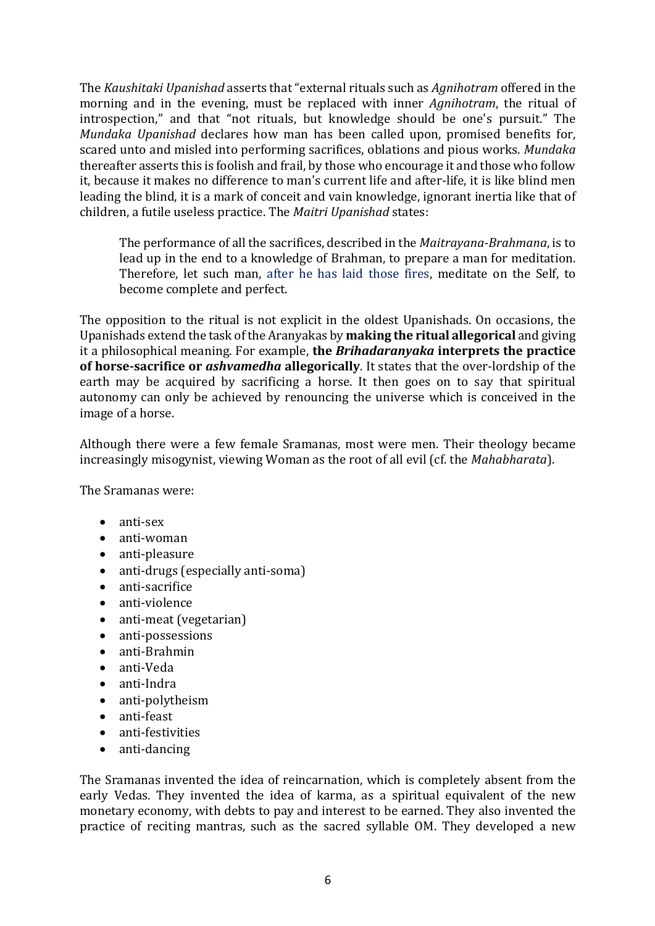The *Kaushitaki Upanishad* asserts that "external rituals such as *Agnihotram* offered in the morning and in the evening, must be replaced with inner *Agnihotram*, the ritual of introspection," and that "not rituals, but knowledge should be one's pursuit." The *Mundaka Upanishad* declares how man has been called upon, promised benefits for, scared unto and misled into performing sacrifices, oblations and pious works. *Mundaka* thereafter asserts this is foolish and frail, by those who encourage it and those who follow it, because it makes no difference to man's current life and after-life, it is like blind men leading the blind, it is a mark of conceit and vain knowledge, ignorant inertia like that of children, a futile useless practice. The *Maitri Upanishad* states:

The performance of all the sacrifices, described in the *Maitrayana-Brahmana*, is to lead up in the end to a knowledge of Brahman, to prepare a man for meditation. Therefore, let such man, after he has laid those fires, meditate on the Self, to become complete and perfect.

The opposition to the ritual is not explicit in the oldest Upanishads. On occasions, the Upanishads extend the task of the Aranyakas by **making the ritual allegorical** and giving it a philosophical meaning. For example, the **Brihadaranyaka interprets the practice of horse-sacrifice or** *ashvamedha* **allegorically**. It states that the over-lordship of the earth may be acquired by sacrificing a horse. It then goes on to say that spiritual autonomy can only be achieved by renouncing the universe which is conceived in the image of a horse.

Although there were a few female Sramanas, most were men. Their theology became increasingly misogynist, viewing Woman as the root of all evil (cf. the *Mahabharata*).

The Sramanas were:

- anti-sex
- anti-woman
- anti-pleasure
- anti-drugs (especially anti-soma)
- anti-sacrifice
- anti-violence
- anti-meat (vegetarian)
- anti-possessions
- anti-Brahmin
- anti-Veda
- anti-Indra
- anti-polytheism
- anti-feast
- anti-festivities
- anti-dancing

The Sramanas invented the idea of reincarnation, which is completely absent from the early Vedas. They invented the idea of karma, as a spiritual equivalent of the new monetary economy, with debts to pay and interest to be earned. They also invented the practice of reciting mantras, such as the sacred syllable OM. They developed a new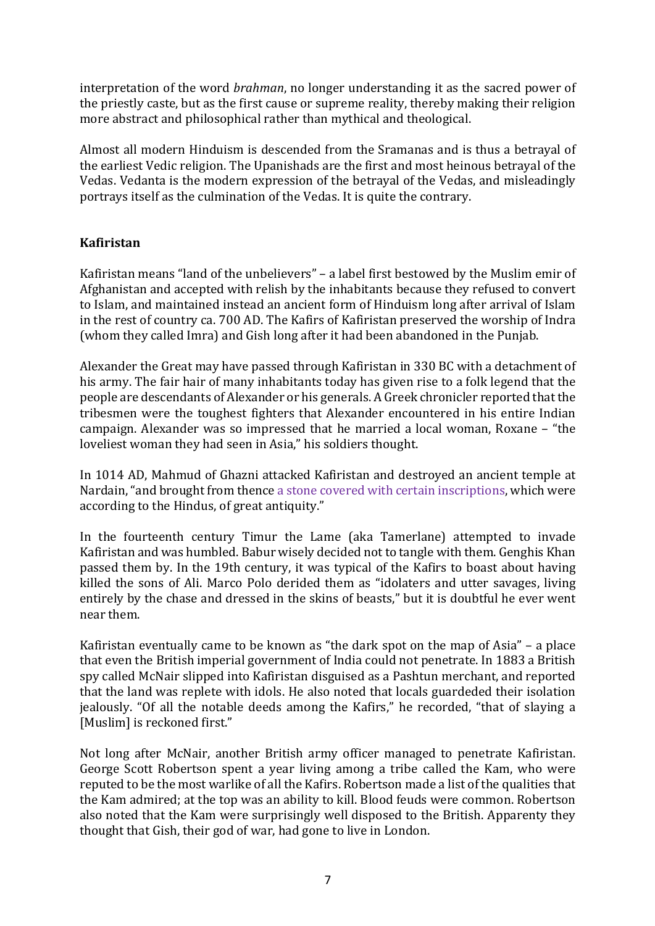interpretation of the word *brahman*, no longer understanding it as the sacred power of the priestly caste, but as the first cause or supreme reality, thereby making their religion more abstract and philosophical rather than mythical and theological.

Almost all modern Hinduism is descended from the Sramanas and is thus a betrayal of the earliest Vedic religion. The Upanishads are the first and most heinous betrayal of the Vedas. Vedanta is the modern expression of the betrayal of the Vedas, and misleadingly portrays itself as the culmination of the Vedas. It is quite the contrary.

## **Kafiristan**

Kafiristan means "land of the unbelievers"  $-$  a label first bestowed by the Muslim emir of Afghanistan and accepted with relish by the inhabitants because they refused to convert to Islam, and maintained instead an ancient form of Hinduism long after arrival of Islam in the rest of country ca. 700 AD. The Kafirs of Kafiristan preserved the worship of Indra (whom they called Imra) and Gish long after it had been abandoned in the Punjab.

Alexander the Great may have passed through Kafiristan in 330 BC with a detachment of his army. The fair hair of many inhabitants today has given rise to a folk legend that the people are descendants of Alexander or his generals. A Greek chronicler reported that the tribesmen were the toughest fighters that Alexander encountered in his entire Indian campaign. Alexander was so impressed that he married a local woman, Roxane – "the loveliest woman they had seen in Asia," his soldiers thought.

In 1014 AD, Mahmud of Ghazni attacked Kafiristan and destroyed an ancient temple at Nardain, "and brought from thence a stone covered with certain inscriptions, which were according to the Hindus, of great antiquity."

In the fourteenth century Timur the Lame (aka Tamerlane) attempted to invade Kafiristan and was humbled. Babur wisely decided not to tangle with them. Genghis Khan passed them by. In the 19th century, it was typical of the Kafirs to boast about having killed the sons of Ali. Marco Polo derided them as "idolaters and utter savages, living entirely by the chase and dressed in the skins of beasts," but it is doubtful he ever went near them.

Kafiristan eventually came to be known as "the dark spot on the map of Asia"  $-$  a place that even the British imperial government of India could not penetrate. In 1883 a British spy called McNair slipped into Kafiristan disguised as a Pashtun merchant, and reported that the land was replete with idols. He also noted that locals guardeded their isolation jealously. "Of all the notable deeds among the Kafirs," he recorded, "that of slaying a [Muslim] is reckoned first."

Not long after McNair, another British army officer managed to penetrate Kafiristan. George Scott Robertson spent a year living among a tribe called the Kam, who were reputed to be the most warlike of all the Kafirs. Robertson made a list of the qualities that the Kam admired; at the top was an ability to kill. Blood feuds were common. Robertson also noted that the Kam were surprisingly well disposed to the British. Apparenty they thought that Gish, their god of war, had gone to live in London.